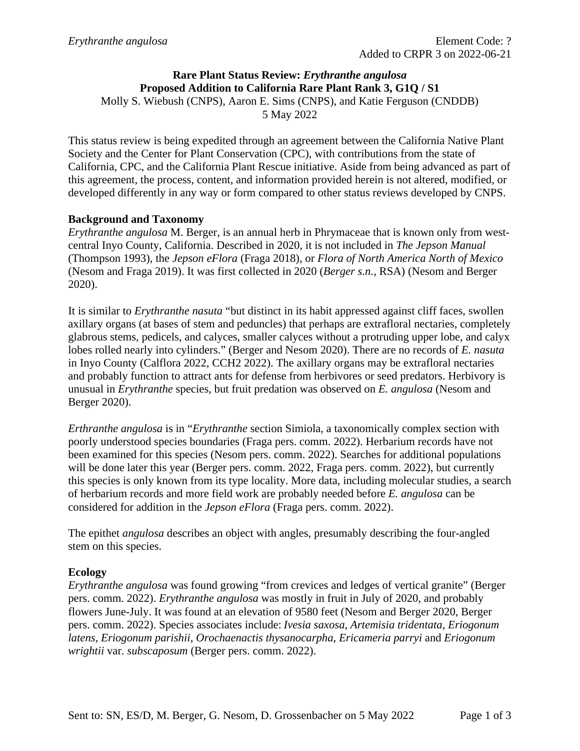# **Rare Plant Status Review:** *Erythranthe angulosa* **Proposed Addition to California Rare Plant Rank 3, G1Q / S1**

Molly S. Wiebush (CNPS), Aaron E. Sims (CNPS), and Katie Ferguson (CNDDB)

5 May 2022

This status review is being expedited through an agreement between the California Native Plant Society and the Center for Plant Conservation (CPC), with contributions from the state of California, CPC, and the California Plant Rescue initiative. Aside from being advanced as part of this agreement, the process, content, and information provided herein is not altered, modified, or developed differently in any way or form compared to other status reviews developed by CNPS.

## **Background and Taxonomy**

*Erythranthe angulosa* M. Berger, is an annual herb in Phrymaceae that is known only from westcentral Inyo County, California. Described in 2020, it is not included in *The Jepson Manual* (Thompson 1993), the *Jepson eFlora* (Fraga 2018), or *Flora of North America North of Mexico* (Nesom and Fraga 2019). It was first collected in 2020 (*Berger s.n.*, RSA) (Nesom and Berger 2020).

It is similar to *Erythranthe nasuta* "but distinct in its habit appressed against cliff faces, swollen axillary organs (at bases of stem and peduncles) that perhaps are extrafloral nectaries, completely glabrous stems, pedicels, and calyces, smaller calyces without a protruding upper lobe, and calyx lobes rolled nearly into cylinders." (Berger and Nesom 2020). There are no records of *E. nasuta* in Inyo County (Calflora 2022, CCH2 2022). The axillary organs may be extrafloral nectaries and probably function to attract ants for defense from herbivores or seed predators. Herbivory is unusual in *Erythranthe* species, but fruit predation was observed on *E. angulosa* (Nesom and Berger 2020).

*Erthranthe angulosa* is in "*Erythranthe* section Simiola, a taxonomically complex section with poorly understood species boundaries (Fraga pers. comm. 2022). Herbarium records have not been examined for this species (Nesom pers. comm. 2022). Searches for additional populations will be done later this year (Berger pers. comm. 2022, Fraga pers. comm. 2022), but currently this species is only known from its type locality. More data, including molecular studies, a search of herbarium records and more field work are probably needed before *E. angulosa* can be considered for addition in the *Jepson eFlora* (Fraga pers. comm. 2022).

The epithet *angulosa* describes an object with angles, presumably describing the four-angled stem on this species.

## **Ecology**

*Erythranthe angulosa* was found growing "from crevices and ledges of vertical granite" (Berger pers. comm. 2022). *Erythranthe angulosa* was mostly in fruit in July of 2020, and probably flowers June-July. It was found at an elevation of 9580 feet (Nesom and Berger 2020, Berger pers. comm. 2022). Species associates include: *Ivesia saxosa*, *Artemisia tridentata*, *Eriogonum latens*, *Eriogonum parishii*, *Orochaenactis thysanocarpha*, *Ericameria parryi* and *Eriogonum wrightii* var. *subscaposum* (Berger pers. comm. 2022).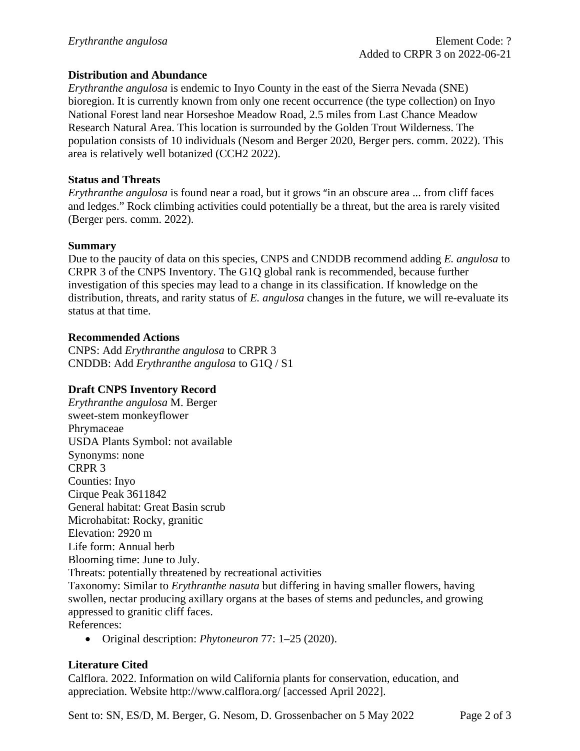### **Distribution and Abundance**

*Erythranthe angulosa* is endemic to Inyo County in the east of the Sierra Nevada (SNE) bioregion. It is currently known from only one recent occurrence (the type collection) on Inyo National Forest land near Horseshoe Meadow Road, 2.5 miles from Last Chance Meadow Research Natural Area. This location is surrounded by the Golden Trout Wilderness. The population consists of 10 individuals (Nesom and Berger 2020, Berger pers. comm. 2022). This area is relatively well botanized (CCH2 2022).

#### **Status and Threats**

*Erythranthe angulosa* is found near a road, but it grows "in an obscure area ... from cliff faces and ledges." Rock climbing activities could potentially be a threat, but the area is rarely visited (Berger pers. comm. 2022).

#### **Summary**

Due to the paucity of data on this species, CNPS and CNDDB recommend adding *E. angulosa* to CRPR 3 of the CNPS Inventory. The G1Q global rank is recommended, because further investigation of this species may lead to a change in its classification. If knowledge on the distribution, threats, and rarity status of *E. angulosa* changes in the future, we will re-evaluate its status at that time.

#### **Recommended Actions**

CNPS: Add *Erythranthe angulosa* to CRPR 3 CNDDB: Add *Erythranthe angulosa* to G1Q / S1

## **Draft CNPS Inventory Record**

*Erythranthe angulosa* M. Berger sweet-stem monkeyflower Phrymaceae USDA Plants Symbol: not available Synonyms: none CRPR 3 Counties: Inyo Cirque Peak 3611842 General habitat: Great Basin scrub Microhabitat: Rocky, granitic Elevation: 2920 m Life form: Annual herb Blooming time: June to July. Threats: potentially threatened by recreational activities Taxonomy: Similar to *Erythranthe nasuta* but differing in having smaller flowers, having swollen, nectar producing axillary organs at the bases of stems and peduncles, and growing appressed to granitic cliff faces. References:

• Original description: *Phytoneuron* 77: 1–25 (2020).

## **Literature Cited**

Calflora. 2022. Information on wild California plants for conservation, education, and appreciation. Website http://www.calflora.org/ [accessed April 2022].